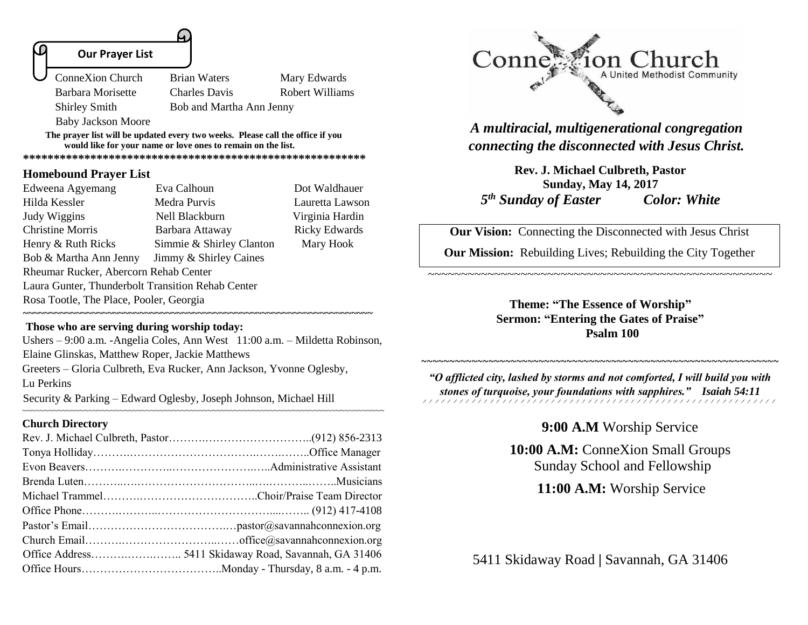#### **Our Prayer List**

L

Shirley Smith Bob and Martha Ann Jenny

 ConneXion Church Brian Waters Mary Edwards Barbara Morisette Charles Davis Robert Williams

Baby Jackson Moore

**The prayer list will be updated every two weeks. Please call the office if you would like for your name or love ones to remain on the list.** 

**\*\*\*\*\*\*\*\*\*\*\*\*\*\*\*\*\*\*\*\*\*\*\*\*\*\*\*\*\*\*\*\*\*\*\*\*\*\*\*\*\*\*\*\*\*\*\*\*\*\*\*\*\*\*\*\***

#### **Homebound Prayer List**

| Eva Calhoun              | Dot Waldhauer                                                                                                                         |
|--------------------------|---------------------------------------------------------------------------------------------------------------------------------------|
| Medra Purvis             | Lauretta Lawson                                                                                                                       |
| Nell Blackburn           | Virginia Hardin                                                                                                                       |
| Barbara Attaway          | <b>Ricky Edwards</b>                                                                                                                  |
| Simmie & Shirley Clanton | Mary Hook                                                                                                                             |
| Jimmy & Shirley Caines   |                                                                                                                                       |
|                          |                                                                                                                                       |
|                          |                                                                                                                                       |
|                          |                                                                                                                                       |
|                          | Rheumar Rucker, Abercorn Rehab Center<br>Laura Gunter, Thunderbolt Transition Rehab Center<br>Rosa Tootle, The Place, Pooler, Georgia |

### **Those who are serving during worship today:**

Ushers – 9:00 a.m. -Angelia Coles, Ann West 11:00 a.m. – Mildetta Robinson, Elaine Glinskas, Matthew Roper, Jackie Matthews Greeters – Gloria Culbreth, Eva Rucker, Ann Jackson, Yvonne Oglesby, Lu Perkins

~~~~~~~~~~~~~~~~~~~~~~~~~~~~~~~~~~~~~~~~~~~~~~~~~~~~~~~~~~~~~~~~~~~~~~~~~~~~~~~~~~

**~~~~~~~~~~~~~~~~~~~~~~~~~~~~~~~~~~~~~~~~~~~~~~~~~~~~~~~~~~~~~~~~~~**

Security & Parking – Edward Oglesby, Joseph Johnson, Michael Hill

#### **Church Directory**



*A multiracial, multigenerational congregation connecting the disconnected with Jesus Christ.*

**Rev. J. Michael Culbreth, Pastor Sunday, May 14, 2017**  *5 th Sunday of Easter Color: White*

**Our Vision:** Connecting the Disconnected with Jesus Christ

**Our Mission:** Rebuilding Lives; Rebuilding the City Together

~~~~~~~~~~~~~~~~~~~~~~~~~~~~~~~~~~~~~~~~~~~~~~~~~~~~

**Theme: "The Essence of Worship" Sermon: "Entering the Gates of Praise" Psalm 100**

*"O afflicted city, lashed by storms and not comforted, I will build you with stones of turquoise, your foundations with sapphires." Isaiah 54:11* 

~~~~~~~~~~~~~~~~~~~~~~~~~~~~~~~~~~~~~~~~~~~~~~~~~~~~~~~~~~~~~~~~

## **9:00 A.M** Worship Service

**10:00 A.M:** ConneXion Small Groups Sunday School and Fellowship

 **11:00 A.M:** Worship Service

5411 Skidaway Road **|** Savannah, GA 31406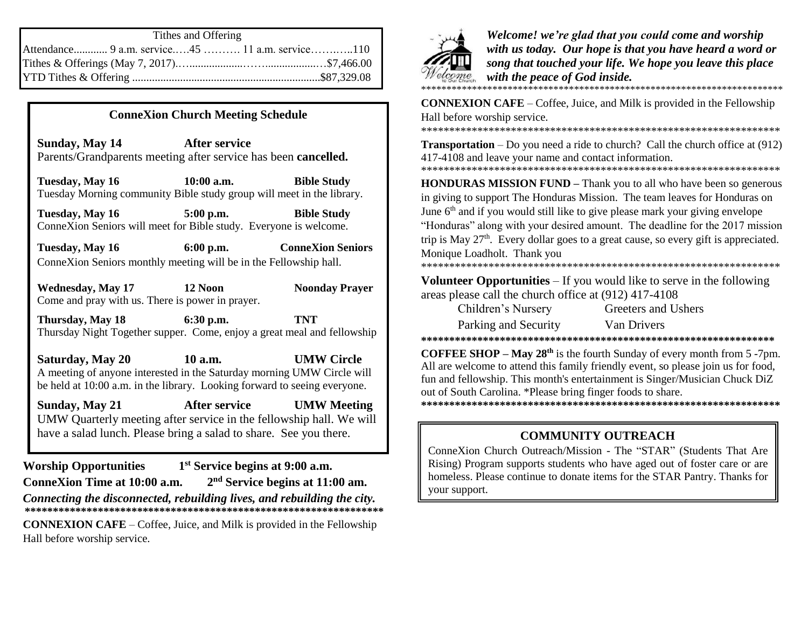| Tithes and Offering                             |  |  |
|-------------------------------------------------|--|--|
| Attendance 9 a.m. service45  11 a.m. service110 |  |  |
|                                                 |  |  |
|                                                 |  |  |

## **ConneXion Church Meeting Schedule**

**Sunday, May 14 After service** Parents/Grandparents meeting after service has been **cancelled.** 

**Tuesday, May 16 10:00 a.m. Bible Study** Tuesday Morning community Bible study group will meet in the library.

**Tuesday, May 16 5:00 p.m. Bible Study** ConneXion Seniors will meet for Bible study. Everyone is welcome.

**Tuesday, May 16 6:00 p.m. ConneXion Seniors** ConneXion Seniors monthly meeting will be in the Fellowship hall.

**Wednesday, May 17 12 Noon Noonday Prayer** Come and pray with us. There is power in prayer.

**Thursday, May 18 6:30 p.m. TNT** Thursday Night Together supper. Come, enjoy a great meal and fellowship

**Saturday, May 20 10 a.m. UMW Circle** A meeting of anyone interested in the Saturday morning UMW Circle will be held at 10:00 a.m. in the library. Looking forward to seeing everyone.

**Sunday, May 21 After service UMW Meeting** UMW Quarterly meeting after service in the fellowship hall. We will have a salad lunch. Please bring a salad to share. See you there. **COMMUNITY OUTREACH** 

**Worship Opportunities 1 st Service begins at 9:00 a.m. ConneXion Time at 10:00 a.m. 2 nd Service begins at 11:00 am.** *Connecting the disconnected, rebuilding lives, and rebuilding the city.* **\*\*\*\*\*\*\*\*\*\*\*\*\*\*\*\*\*\*\*\*\*\*\*\*\*\*\*\*\*\*\*\*\*\*\*\*\*\*\*\*\*\*\*\*\*\*\*\*\*\*\*\*\*\*\*\*\*\*\*\*\*\*\*\* CONNEXION CAFE** – Coffee, Juice, and Milk is provided in the Fellowship Hall before worship service.



*Welcome! we're glad that you could come and worship with us today. Our hope is that you have heard a word or song that touched your life. We hope you leave this place with the peace of God inside.* \*\*\*\*\*\*\*\*\*\*\*\*\*\*\*\*\*\*\*\*\*\*\*\*\*\*\*\*\*\*\*\*\*\*\*\*\*\*\*\*\*\*\*\*\*\*\*\*\*\*\*\*\*\*\*\*\*\*\*\*\*\*\*\*\*\*\*\*\*\*\*

**CONNEXION CAFE** – Coffee, Juice, and Milk is provided in the Fellowship Hall before worship service. \*\*\*\*\*\*\*\*\*\*\*\*\*\*\*\*\*\*\*\*\*\*\*\*\*\*\*\*\*\*\*\*\*\*\*\*\*\*\*\*\*\*\*\*\*\*\*\*\*\*\*\*\*\*\*\*\*\*\*\*\*\*\*\*

**Transportation** – Do you need a ride to church? Call the church office at (912) 417-4108 and leave your name and contact information.

\*\*\*\*\*\*\*\*\*\*\*\*\*\*\*\*\*\*\*\*\*\*\*\*\*\*\*\*\*\*\*\*\*\*\*\*\*\*\*\*\*\*\*\*\*\*\*\*\*\*\*\*\*\*\*\*\*\*\*\*\*\*\*\*

**HONDURAS MISSION FUND** – Thank you to all who have been so generous in giving to support The Honduras Mission. The team leaves for Honduras on June 6<sup>th</sup> and if you would still like to give please mark your giving envelope "Honduras" along with your desired amount. The deadline for the 2017 mission trip is May  $27<sup>th</sup>$ . Every dollar goes to a great cause, so every gift is appreciated. Monique Loadholt. Thank you

\*\*\*\*\*\*\*\*\*\*\*\*\*\*\*\*\*\*\*\*\*\*\*\*\*\*\*\*\*\*\*\*\*\*\*\*\*\*\*\*\*\*\*\*\*\*\*\*\*\*\*\*\*\*\*\*\*\*\*\*\*\*\*\*

**Volunteer Opportunities** – If you would like to serve in the following areas please call the church office at (912) 417-4108

| Children's Nursery   |  |
|----------------------|--|
| Parking and Security |  |

Van Drivers

Greeters and Ushers

**\*\*\*\*\*\*\*\*\*\*\*\*\*\*\*\*\*\*\*\*\*\*\*\*\*\*\*\*\*\*\*\*\*\*\*\*\*\*\*\*\*\*\*\*\*\*\*\*\*\*\*\*\*\*\*\*\*\*\*\*\*\*\***

**COFFEE SHOP – May 28th** is the fourth Sunday of every month from 5 -7pm. All are welcome to attend this family friendly event, so please join us for food, fun and fellowship. This month's entertainment is Singer/Musician Chuck DiZ out of South Carolina. \*Please bring finger foods to share. **\*\*\*\*\*\*\*\*\*\*\*\*\*\*\*\*\*\*\*\*\*\*\*\*\*\*\*\*\*\*\*\*\*\*\*\*\*\*\*\*\*\*\*\*\*\*\*\*\*\*\*\*\*\*\*\*\*\*\*\*\*\*\*\***

ConneXion Church Outreach/Mission - The "STAR" (Students That Are Rising) Program supports students who have aged out of foster care or are homeless. Please continue to donate items for the STAR Pantry. Thanks for your support.